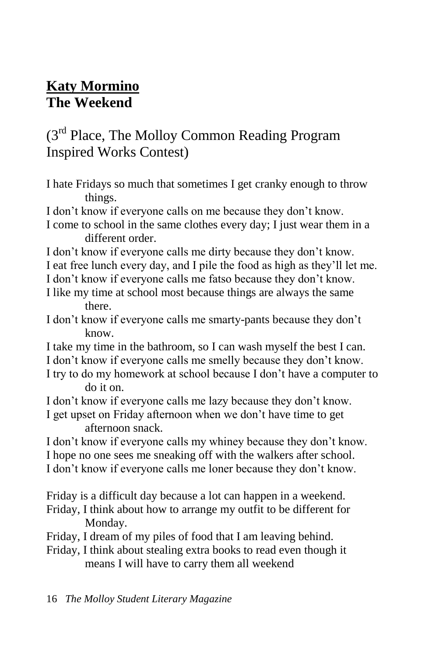## **Katy Mormino The Weekend**

## (3<sup>rd</sup> Place, The Molloy Common Reading Program Inspired Works Contest)

- I hate Fridays so much that sometimes I get cranky enough to throw things.
- I don't know if everyone calls on me because they don't know.

I come to school in the same clothes every day; I just wear them in a different order.

- I don't know if everyone calls me dirty because they don't know. I eat free lunch every day, and I pile the food as high as they'll let me.
- I don't know if everyone calls me fatso because they don't know.
- I like my time at school most because things are always the same there.
- I don't know if everyone calls me smarty-pants because they don't know.
- I take my time in the bathroom, so I can wash myself the best I can. I don't know if everyone calls me smelly because they don't know.
- I try to do my homework at school because I don't have a computer to do it on.
- I don't know if everyone calls me lazy because they don't know.
- I get upset on Friday afternoon when we don't have time to get afternoon snack.

I don't know if everyone calls my whiney because they don't know. I hope no one sees me sneaking off with the walkers after school. I don't know if everyone calls me loner because they don't know.

Friday is a difficult day because a lot can happen in a weekend.

- Friday, I think about how to arrange my outfit to be different for Monday.
- Friday, I dream of my piles of food that I am leaving behind.
- Friday, I think about stealing extra books to read even though it means I will have to carry them all weekend